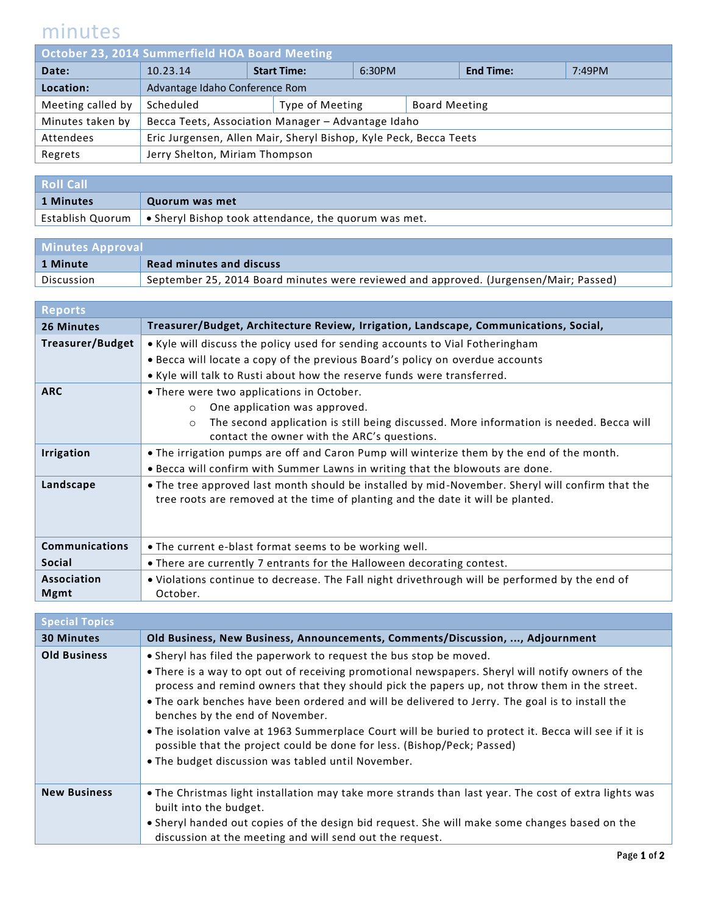## minutes

| October 23, 2014 Summerfield HOA Board Meeting |                                                                   |  |                    |        |                      |                  |        |
|------------------------------------------------|-------------------------------------------------------------------|--|--------------------|--------|----------------------|------------------|--------|
| Date:                                          | 10.23.14                                                          |  | <b>Start Time:</b> | 6:30PM |                      | <b>End Time:</b> | 7:49PM |
| Location:                                      | Advantage Idaho Conference Rom                                    |  |                    |        |                      |                  |        |
| Meeting called by                              | Scheduled                                                         |  | Type of Meeting    |        | <b>Board Meeting</b> |                  |        |
| Minutes taken by                               | Becca Teets, Association Manager - Advantage Idaho                |  |                    |        |                      |                  |        |
| Attendees                                      | Eric Jurgensen, Allen Mair, Sheryl Bishop, Kyle Peck, Becca Teets |  |                    |        |                      |                  |        |
| Regrets                                        | Jerry Shelton, Miriam Thompson                                    |  |                    |        |                      |                  |        |
|                                                |                                                                   |  |                    |        |                      |                  |        |

| <b>Roll Call</b> |                                                                                             |
|------------------|---------------------------------------------------------------------------------------------|
| 1 Minutes        | Quorum was met                                                                              |
|                  | Establish Quorum $\, \mid \, \bullet \,$ Sheryl Bishop took attendance, the quorum was met. |

| <b>Minutes Approval</b> |                                                                                       |  |
|-------------------------|---------------------------------------------------------------------------------------|--|
| 1 Minute                | <b>Read minutes and discuss</b>                                                       |  |
| Discussion              | September 25, 2014 Board minutes were reviewed and approved. (Jurgensen/Mair; Passed) |  |

| <b>Reports</b>        |                                                                                                                                                                                     |
|-----------------------|-------------------------------------------------------------------------------------------------------------------------------------------------------------------------------------|
| <b>26 Minutes</b>     | Treasurer/Budget, Architecture Review, Irrigation, Landscape, Communications, Social,                                                                                               |
| Treasurer/Budget      | • Kyle will discuss the policy used for sending accounts to Vial Fotheringham                                                                                                       |
|                       | . Becca will locate a copy of the previous Board's policy on overdue accounts                                                                                                       |
|                       | • Kyle will talk to Rusti about how the reserve funds were transferred.                                                                                                             |
| <b>ARC</b>            | • There were two applications in October.                                                                                                                                           |
|                       | One application was approved.<br>$\circ$                                                                                                                                            |
|                       | The second application is still being discussed. More information is needed. Becca will<br>$\Omega$                                                                                 |
|                       | contact the owner with the ARC's questions.                                                                                                                                         |
| <b>Irrigation</b>     | . The irrigation pumps are off and Caron Pump will winterize them by the end of the month.                                                                                          |
|                       | . Becca will confirm with Summer Lawns in writing that the blowouts are done.                                                                                                       |
| Landscape             | . The tree approved last month should be installed by mid-November. Sheryl will confirm that the<br>tree roots are removed at the time of planting and the date it will be planted. |
| <b>Communications</b> | • The current e-blast format seems to be working well.                                                                                                                              |
| <b>Social</b>         | . There are currently 7 entrants for the Halloween decorating contest.                                                                                                              |
| Association           | . Violations continue to decrease. The Fall night drivethrough will be performed by the end of                                                                                      |
| <b>Mgmt</b>           | October.                                                                                                                                                                            |

| <b>Special Topics</b> |                                                                                                                                                                                                                                                                                                                                                                                                                                                                                                                                                                                                                                                         |
|-----------------------|---------------------------------------------------------------------------------------------------------------------------------------------------------------------------------------------------------------------------------------------------------------------------------------------------------------------------------------------------------------------------------------------------------------------------------------------------------------------------------------------------------------------------------------------------------------------------------------------------------------------------------------------------------|
| <b>30 Minutes</b>     | Old Business, New Business, Announcements, Comments/Discussion, , Adjournment                                                                                                                                                                                                                                                                                                                                                                                                                                                                                                                                                                           |
| <b>Old Business</b>   | • Sheryl has filed the paperwork to request the bus stop be moved.<br>• There is a way to opt out of receiving promotional newspapers. Sheryl will notify owners of the<br>process and remind owners that they should pick the papers up, not throw them in the street.<br>. The oark benches have been ordered and will be delivered to Jerry. The goal is to install the<br>benches by the end of November.<br>. The isolation valve at 1963 Summerplace Court will be buried to protect it. Becca will see if it is<br>possible that the project could be done for less. (Bishop/Peck; Passed)<br>. The budget discussion was tabled until November. |
| <b>New Business</b>   | • The Christmas light installation may take more strands than last year. The cost of extra lights was<br>built into the budget.<br>• Sheryl handed out copies of the design bid request. She will make some changes based on the<br>discussion at the meeting and will send out the request.                                                                                                                                                                                                                                                                                                                                                            |